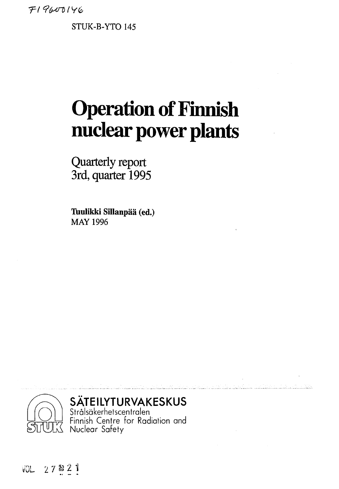*Tl*

**STUK-B-YTO 145**

# **Operation of Finnish nuclear power plants**

Quarterly report 3rd, quarter 1995

**Tuulikki Sillanpää (ed.) MAY 1996**



**SÄTEILYTURVAKESKUS**

Strälsäkerhetscentralen Finnish Centre for Radiation and Nuclear Safety

**vGL 2 7 » ^**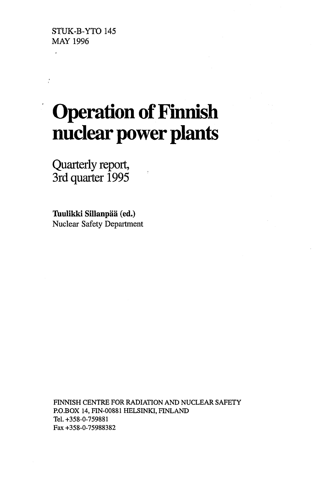STUK-B-YTO 145 MAY 1996

# **Operation of Finnish nuclear power plants**

Quarterly report, 3rd quarter 1995

**Tuulikki Sillanpää (ed.)** Nuclear Safety Department

FINNISH CENTRE FOR RADIATION AND NUCLEAR SAFETY P.O.BOX 14, FIN-00881 HELSINKI, FINLAND Tel.+358-0-759881 Fax +358-0-75988382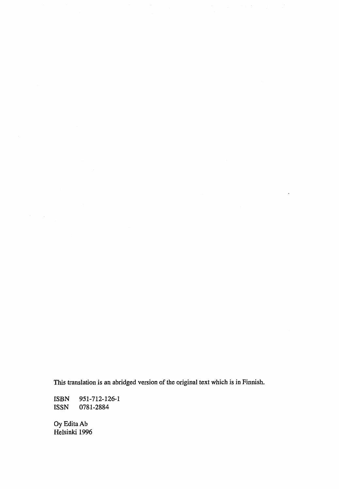This translation is an abridged version of the original text which is in Finnish.

ISBN 951-712-126-1<br>ISSN 0781-2884 0781-2884

OyEditaAb Helsinki 1996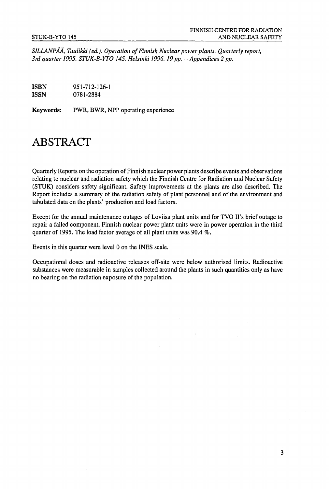*SILLANPÄÄ, Tuulikki (ed.). Operation of Finnish Nuclear power plants. Quarterly report,* 3rd quarter 1995. STUK-B-YTO 145. Helsinki 1996. 19 pp. + Appendices 2 pp.

**ISBN** 951-712-126-1 **ISSN** 0781-2884

Keywords: PWR, BWR, NPP operating experience

### ABSTRACT

Quarterly Reports on the operation of Finnish nuclear power plants describe events and observations relating to nuclear and radiation safety which the Finnish Centre for Radiation and Nuclear Safety (STUK) considers safety significant. Safety improvements at the plants arc also described. The Report includes a summary of the radiation safety of plant personnel and of the environment and tabulated data on the plants' production and load factors.

Except for the annual maintenance outages of Loviisa plant units and for TVO II's brief outage to repair a failed component, Finnish nuclear power plant units were in power operation in the third quarter of 1995. The load factor average of all plant units was 90.4 %.

Events in this quarter were level 0 on the INES scale.

Occupational doses and radioactive releases off-site were below authorised limits. Radioactive substances were measurable in samples collected around the plants in such quantities only as have no bearing on the radiation exposure of the population.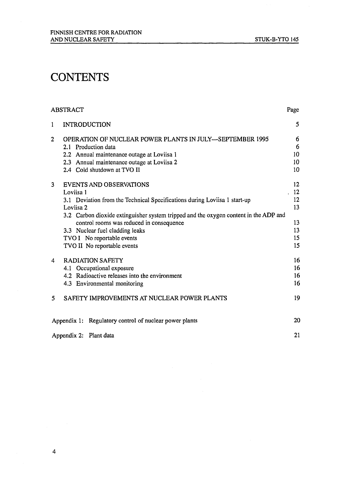## **CONTENTS**

|                | ABSTRACT                                                                             | Page              |
|----------------|--------------------------------------------------------------------------------------|-------------------|
| $\mathbf{1}$   | <b>INTRODUCTION</b>                                                                  | 5                 |
| $\overline{2}$ | <b>OPERATION OF NUCLEAR POWER PLANTS IN JULY-SEPTEMBER 1995</b>                      | 6                 |
|                | 2.1 Production data                                                                  | 6                 |
|                | 2.2 Annual maintenance outage at Loviisa 1                                           | 10                |
|                | 2.3 Annual maintenance outage at Loviisa 2                                           | 10                |
|                | 2.4 Cold shutdown at TVO II                                                          | 10                |
| 3              | <b>EVENTS AND OBSERVATIONS</b>                                                       | $12 \overline{ }$ |
|                | Loviisa 1                                                                            | .12               |
|                | 3.1 Deviation from the Technical Specifications during Loviisa 1 start-up            | 12                |
|                | Loviisa 2                                                                            | 13                |
|                | 3.2 Carbon dioxide extinguisher system tripped and the oxygen content in the ADP and |                   |
|                | control rooms was reduced in consequence                                             | 13                |
|                | 3.3 Nuclear fuel cladding leaks                                                      | 13                |
|                | TVO I No reportable events                                                           | 15                |
|                | TVO II No reportable events                                                          | 15                |
| 4              | <b>RADIATION SAFETY</b>                                                              | 16                |
|                | 4.1 Occupational exposure                                                            | 16                |
|                | 4.2 Radioactive releases into the environment                                        | 16                |
|                | 4.3 Environmental monitoring                                                         | 16                |
| 5              | SAFETY IMPROVEMENTS AT NUCLEAR POWER PLANTS                                          | 19                |
|                | Appendix 1: Regulatory control of nuclear power plants                               | 20                |
|                | Appendix 2: Plant data                                                               | 21                |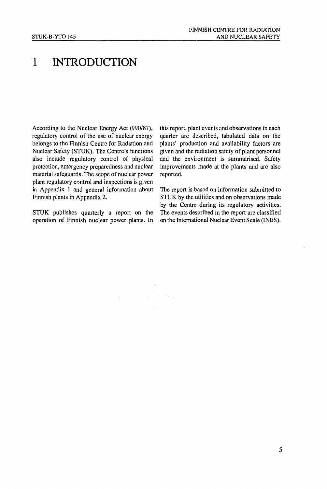### 1 INTRODUCTION

According to the Nuclear Energy Act (990/87), regulatory control of the use of nuclear energy belongs to the Finnish Centre for Radiation and Nuclear Safety (STUK). The Centre's functions also include regulatory control of physical protection, emergency preparedness and nuclear material safeguards. The scope of nuclear power plant regulatory control and inspections is given in Appendix 1 and general information about Finnish plants in Appendix 2.

STUK publishes quarterly a report on the operation of Finnish nuclear power plants. In this report, plant events and observations in each quarter are described, tabulated data on the plants' production and availability factors are given and the radiation safety of plant personnel and the environment is summarised. Safety improvements made at the plants and are also reported.

The report is based on information submitted to STUK by the utilities and on observations made by the Centre during its regulatory activities. The events described in the report are classified on the International Nuclear Event Scale (INES).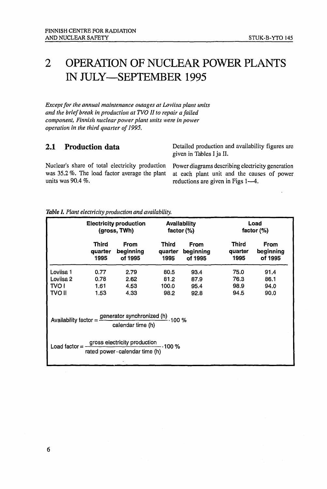## 2 OPERATION OF NUCLEAR POWER PLANTS IN JULY—SEPTEMBER 1995

*Except for the annual maintenance outages at Loviisa plant units and the brief break in production at TVOII to repair a failed component, Finnish nuclear power plant units were in power operation in the third quarter of 1995,*

**2.1 Production data** Detailed production and availability figures are given in Tables I ja II.

Nuclear's share of total electricity production Power diagrams describing electricity generation was 35.2 %. The load factor average the plant at each plant unit and the causes of power

was 35.2 %. The load factor average the plant at each plant unit and the causes of power units was 90.4 %.<br>
reductions are given in Figs 1—4. reductions are given in Figs 1—4.

|                                                                                                         |                              | <b>Electricity production</b><br>(gross, TWh) |                                 | Availability<br>factor $(\%)$ |                                 | Load<br>factor $(%)$                |
|---------------------------------------------------------------------------------------------------------|------------------------------|-----------------------------------------------|---------------------------------|-------------------------------|---------------------------------|-------------------------------------|
|                                                                                                         | Third<br>quarter<br>1995     | <b>From</b><br>beginning<br>of 1995           | <b>Third</b><br>quarter<br>1995 | From<br>beginning<br>of 1995  | <b>Third</b><br>quarter<br>1995 | <b>From</b><br>beginning<br>of 1995 |
| Loviisa 1<br>Loviisa <sub>2</sub><br><b>TVO I</b><br>TVO II                                             | 0.77<br>0.78<br>1.61<br>1.53 | 2.79<br>2.62<br>4.53<br>4.33                  | 80.5<br>81.2<br>100.0<br>98.2   | 93.4<br>87.9<br>95.4<br>92.8  | 75.0<br>76.3<br>98.9<br>94.5    | 91.4<br>86.1<br>94.0<br>90.0        |
| Availability factor = $\frac{generator \ synchronized (h)}{100 \%}$<br>calendar time (h)                |                              |                                               |                                 |                               |                                 |                                     |
| Load factor = $\frac{gross \text{ electricity production}}{300\%}$ .<br>rated power · calendar time (h) |                              |                                               |                                 |                               |                                 |                                     |

*Table I. Plant electricity production and availability.*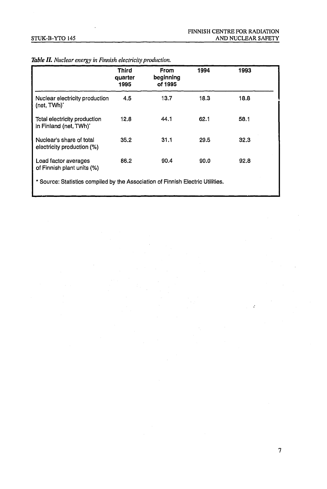|                                                                                 | <b>Third</b><br>quarter<br>1995 | <b>From</b><br>beginning<br>of 1995 | 1994 | 1993 |  |
|---------------------------------------------------------------------------------|---------------------------------|-------------------------------------|------|------|--|
| Nuclear electricity production<br>(net, TWh)'                                   | 4.5                             | 13.7                                | 18.3 | 18.8 |  |
| Total electricity production<br>in Finland (net, TWh)                           | 12.8                            | 44.1                                | 62.1 | 58.1 |  |
| Nuclear's share of total<br>electricity production (%)                          | 35.2                            | 31.1                                | 29.5 | 32.3 |  |
| Load factor averages<br>of Finnish plant units (%)                              | 86.2                            | 90.4                                | 90.0 | 92.8 |  |
| * Source: Statistics compiled by the Association of Finnish Electric Utilities. |                                 |                                     |      |      |  |

#### *Table II. Nuclear energy in Finnish electricity production.*

 $\ddot{r}$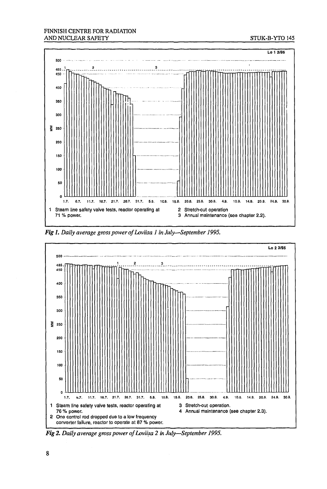#### FINNISH CENTRE FOR RADIATION AND NUCLEAR SAFETY STUK-B-YTO 145



*Fig 1. Daily average gross power of Loviisa 1 in July*—*September 1995.*



*Fig 2. Daily average gross power of Loviisa 2 in July*—*September 1995.*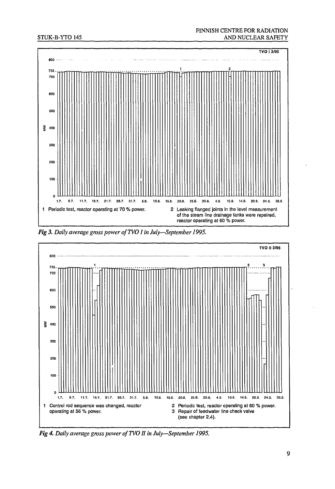#### STUK-B-YTO 145

#### FINNISH CENTRE FOR RADIATION AND NUCLEAR SAFETY



*Fig 3. Daily average gross power of TVO I in July—September 1995.*



**Fig** *4. Daily average gross power of TVO H in July—September 1995.*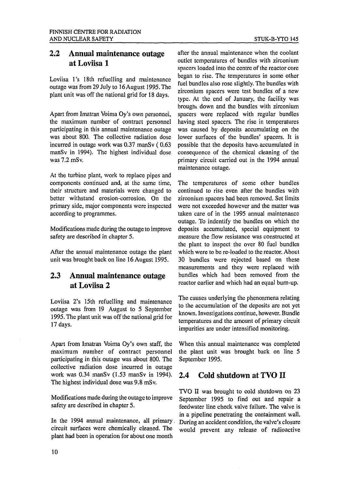#### 2.2 Annual maintenance outage at Loviisa l

Loviisa l's 18th refuelling and maintenance outage was from 29 July to 16 August 1995. The plant unit was off the national grid for 18 days.

Apart from Imatran Voima Oy's own personnel, the maximum number of contract personnel participating in this annual maintenance outage was about 800. The collective radiation dose incurred in outage work was 0.37 manSv ( 0.63 manSv in 1994). The highest individual dose was 7.2 mSv.

At the turbine plant, work to replace pipes and components continued and, at the same time, their structure and materials were changed to better withstand erosion-corrosion. On the primary side, major components were inspected according to programmes.

Modifications made during the outage to improve safety are described in chapter 5.

After the annual maintenance outage the plant unit was brought back on line 16 August 1995.

#### 2.3 Annual maintenance outage at Loviisa 2

Loviisa 2's 15th refuelling and maintenance outage was from 19 August to 5 September 1995. The plant unit was off the national grid for 17 days.

Apart from Imatran Voima Oy's own staff, the maximum number of contract personnel participating in this outage was about 800. The collective radiation dose incurred in outage work was 0.34 manSv (1.53 manSv in 1994). The highest individual dose was 9.8 mSv.

Modifications made during the outage to improve safety are described in chapter 5.

In the 1994 annual maintenance, all primary. circuit surfaces were chemically cleaned. The plant had been in operation for about one month

after the annual maintenance when the coolant outlet temperatures of bundles with zirconium spacers loaded into the centre of the reactor core began to rise. The temperatures in some other fuel bundles also rose slightly. The bundles with zirconium spacers were test bundles of a new type. At the end of January, the facility was brought down and the bundles with zirconium spacers were replaced with regular bundles having steel spacers. The rise in temperatures was caused by deposits accumulating on the lower surfaces of the bundles' spacers. It is possible that the deposits have, accumulated in consequence of the chemical cleaning of the primary circuit carried out in the 1994 annual maintenance outage.

The temperatures of some other bundles continued to rise even after the bundles with zirconium spacers had been removed. Set limits were not exceeded however and the matter was taken care of in the 1995 annual maintenance outage. To indentify the bundles on which the deposits accumulated, special equipment to measure the flow resistance was constructed at the plant to inspect the over 80 fuel bundles which were to be re-loaded to the reactor. About 30 bundles were rejected based on these measurements and they were replaced with bundles which had been removed from the reactor earlier and which had an equal burn-up.

The causes underlying the phenonmena relating to the accumulation of the deposits are not yet known. Investigations continue, however. Bundle temperatures and the amount of primary circuit impurities are under intensified monitoring.

When this annual maintenance was completed the plant unit was brought back on line 5 September 1995.

#### 2.4 Cold shutdown at TVO II

TVO II was brought to cold shutdown on 23 September 1995 to find out and repair a feedwater line check valve failure. The valve is in a pipeline penetrating the containment wall. During an accident condition, the valve's closure would prevent any release of radioactive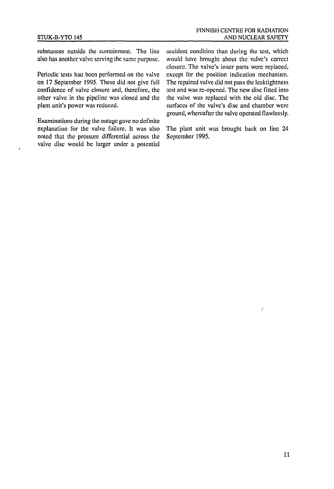substances outside the containment. The line also has another valve serving the same purpose.

Periodic tests had been performed on the valve on 17 September 1995. These did not give full confidence of valve closure and, therefore, the other valve in the pipeline was closed and the plant unit's power was reduced.

Examinations during the outage gave no definite explanation for the valve failure. It was also noted that the pressure differential across the valve disc would be larger under a potential accident condition than during the test, which would have brought about the valve's correct closure. The valve's inner parts were replaced, except for the position indication mechanism. The repaired valve did not pass the lcaktightncss test and was rc-opencd. The new disc fitted into the valve was replaced with the old disc. The surfaces of the valve's disc and chamber were ground, whereafter the valve operated flawlessly.

The plant unit was brought back on line 24 September 1995.

ż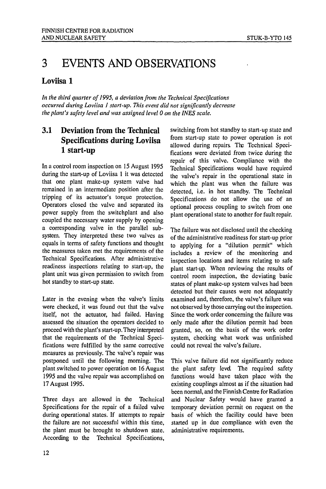## 3 EVENTS AND OBSERVATIONS

#### Loviisa 1

*In the third quarter of 1995, a deviation from the Technical Specifications occurred during Loviisa 1 start-up. This event did not significantly decrease the plant's safety level and was assigned level 0 on the INES scale.*

### 3.1 Deviation from the Technical Specifications during Loviisa 1 start-up

In a control room inspection on 15 August 1995 during the start-up of Loviisa 1 it was detected that one plant make-up system valve had remained in an intermediate position after the tripping of its actuator's torque protection. Operators closed the valve and separated its power supply from the switchplant and also coupled the necessary water supply by opening a corresponding valve in the parallel subsystem. They interpreted these two valves as equals in terms of safety functions and thought the measures taken met the requirements of the Technical Specifications. After administrative readiness inspections relating to start-up, the plant unit was given permission to switch from hot standby to start-up state.

Later in the evening when the valve's limits were checked, it was found out that the valve itself, not the actuator, had failed. Having assessed the situation the operators decided to proceed with the plant's start-up. They interpreted that the requirements of the Technical Specifications were fulfilled by the same corrective measures as previously. The valve's repair was postponed until the following morning. The plant switched to power operation on 16 August 1995 and the valve repair was accomplished on 17 August 1995.

Three days are allowed in the Technical Specifications for the repair of a failed valve during operational states. If attempts to repair the failure are not successful within this time, the plant must be brought to shutdown state. According to the Technical Specifications,

switching from hot standby to start-up state and from start-up state to power operation is not allowed during repairs. The Technical Specifications were deviated from twice during the repair of this valve. Compliance with the Technical Specifications would have required the valve's repair in the operational state in which the plant was when the failure was detected, i.e. in hot standby. The Technical Specifications do not allow the use of an optional process coupling to switch from one plant operational state to another for fault repair.

The failure was not disclosed until the checking of the administrative readiness for start-up prior to applying for a "dilution permit" which includes a review of the monitoring and inspection locations and items relating to safe plant start-up. When reviewing the results of control room inspection, the deviating basic states of plant make-up system valves had been detected but their causes were not adequately examined and, therefore, the valve's failure was not observed by those carrying out the inspection. Since the work order concerning the failure was only made after the dilution permit had been granted, so, on the basis of the work order system, checking what work was unfinished could not reveal the valve's failure.

This valve failure did not significantly reduce the plant safety level. The required safety functions would have taken place with the existing couplings almost as if the situation had been normal, and the Finnish Centre for Radiation and Nuclear Safety would have granted a temporary deviation permit on request on the basis of which the facility could have been started up in due compliance with even the administrative requirements.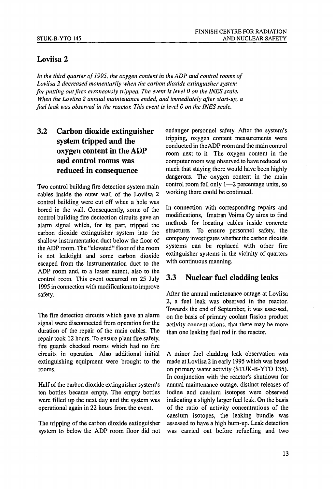#### Loviisa 2

*In the third quarter of J995, the oxygen content in the ADP and control rooms of Loviisa 2 decreased momentarily when the carbon dioxide extinguisher system for putting out fires erroneously tripped. The event is level 0 on the INES scale. When the Loviisa 2 annual maintenance ended, and immediately after start-up, a fuel leak was observed in the reactor. This event is level 0 on the INES scale.*

### 3.2 Carbon dioxide extinguisher system tripped and the oxygen content in the ADP and control rooms was reduced in consequence

Two control building fire detection system main cables inside the outer wall of the Loviisa 2 control building were cut off when a hole was bored in the wall. Consequently, some of the control building fire dectection circuits gave an alarm signal which, for its part, tripped the carbon dioxide extinguisher system into the shallow instrumentation duct below the floor of the ADP room. The "elevated" floor of the room is not leaktight and some carbon dioxide escaped from the instrumentation duct to the ADP room and, to a lesser extent, also to the control room. This event occurred on 25 July 1995 in connection with modifications to improve safety.

The fire detection circuits which gave an alarm signal were disconnected from operation for the duration of the repair of the main cables. The repair took 12 hours. To ensure plant fire safety, fire guards checked rooms which had no fire circuits in operation. Also additional initial extinguishing equipment were brought to the rooms.

Half of the carbon dioxide extinguisher system's ten bottles became empty. The empty bottles were filled up the next day and the system was operational again in 22 hours from the event.

The tripping of the carbon dioxide extinguisher system to below the ADP room floor did not endanger personnel safety. After the system's tripping, oxygen content measurements were conducted in the ADP room and the main control room next to it. The oxygen content in the computer room was observed to have reduced so much that staying there would have been highly dangerous. The oxygen content in the main control room fell only 1—2 percentage units, so working there could be continued.

In connection with corresponding repairs and modifications, Imatran Voima Oy aims to find methods for locating cables inside concrete structures To ensure personnel safety, the company investigates whether the carbon dioxide systems can be replaced with other fire extinguisher systems in the vicinity of quarters with continuous manning.

#### 3.3 Nuclear fuel cladding leaks

After the annual maintenance outage at Loviisa 2, a fuel leak was observed in the reactor. Towards the end of September, it was assessed, on the basis of primary coolant fission product activity concentrations, that there may be more than one leaking fuel rod in the reactor.

A minor fuel cladding leak observation was made at Loviisa 2 in early 1995 which was based on primary water activity (STUK-B-YTO 135). In conjunction with the reactor's shutdown for annual maintenance outage, distinct releases of iodine and caesium isotopes were observed indicating a slighly larger fuel leak. On the basis of the ratio of activity concentrations of the caesium isotopes, the leaking bundle was assessed to have a high burn-up. Leak detection was carried out before refuelling and two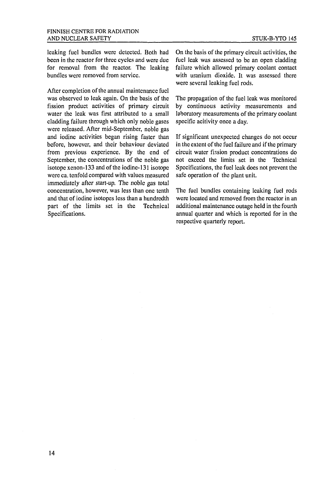leaking fuel bundles were detected. Both had been in the reactor for three cycles and were due for removal from the reactor. The leaking bundles were removed from service.

After completion of the annual maintenance fuel was observed to leak again. On the basis of the fission product activities of primary circuit water the leak was first attributed to a small cladding failure through which only noble gases were released. After mid-September, noble gas and iodine activities began rising faster than before, however, and their behaviour deviated from previous experience. By the end of September, the concentrations of the noble gas isotope xenon-133 and of the iodine-131 isotope were ca. tenfold compared with values measured immediately after start-up. The noble gas total concentration, however, was less than one tenth and that of iodine isotopes less than a hundredth part of the limits set in the Technical Specifications.

On the basis of the primary circuit activities, the fuel leak was assessed to be an open cladding failure which allowed primary coolant contact with uranium dioxide. It was assessed there were several leaking fuel rods.

The propagation of the fuel leak was monitored by continuous activity measurements and laboratory measurements of the primary coolant specific acitivity once a day.

If significant unexpected changes do not occur in the extent of the fuel failure and if the primary circuit water fission product concentrations do not exceed the limits set in the Technical Specifications, the fuel leak does not prevent the safe operation of the plant unit.

The fuel bundles containing leaking fuel rods were located and removed from the reactor in an additional maintenance outage held in the fourth annual quarter and which is reported for in the respective quarterly report.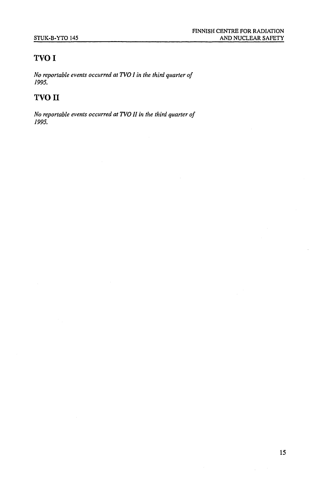### **TVOI**

*No reportable events occurred at TVOI in the third quarter of 1995.*

### **TVO II**

*No reportable events occurred at TVO II in the third quarter of 1995.*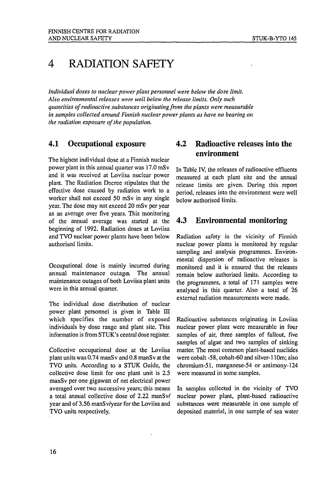### 4 RADIATION SAFETY

*Individual doses to nuclear power plant personnel were below the dose limit. Also environmental releases were well below the release limits. Only such quantities of radioactive substances originating from the plants were measurable in samples collected around Finnish nuclear power plants as have no bearing on the radiation exposure of the population.*

#### 4.1 Occupational exposure

The highest individual dose at a Finnish nuclear power plant in this annual quarter was 17.0 mSv and it was received at Loviisa nuclear power plant. The Radiation Decree stipulates that the effective dose caused by radiation work to a worker shall not exceed 50 mSv in any single year. The dose may not exceed 20 mSv per year as an average over five years. This monitoring of the annual average was started at the beginning of 1992. Radiation doses at Loviisa and TVO nuclear power plants have been below authorised limits.

Occupational dose is mainly incurred during annual maintenance outages. The annual maintenance outages of both Loviisa plant units were in this annual quarter.

The individual dose distribution of nuclear power plant personnel is given in Table III which specifies the number of exposed individuals by dose range and plant site. This information is from STUK's central dose register.

Collective occupational dose at the Loviisa plant units was 0.74 manSv and 0.8 manSv at the TVO units. According to a STUK Guide, the collective dose limit for one plant unit is 2.5 manSv per one gigawatt of net electrical power averaged over two successive years; this means a total annual collective dose of 2.22 manSv/ year and of 3.56 manSv/year for the Loviisa and TVO units respectively.

#### 4.2 Radioactive releases into the environment

In Table IV, the releases of radioactive effluents measured at each plant site and the annual release limits are given. During this report period, releases into the environment were well below authorised limits.

#### 4.3 Environmental monitoring

Radiation safety in the vicinity of Finnish nuclear power plants is monitored by regular sampling and analysis programmes. Environmental dispersion of radioactive releases is monitored and it is ensured that the releases remain below authorised limits. According to the programmes, a total of 171 samples were analysed in this quarter. Also a total of 26 external radiation measurements were made.

Radioactive substances originating in Loviisa nuclear power plant were measurable in four samples of air, three samples of fallout, five samples of algae and two samples of sinking matter. The most common plant-based nuclides were cobalt -58, cobalt-60 and silver-110m; also chromium-51, manganese-54 or antimony-124 were measured in some samples.

In samples collected in the vicinity of TVO nuclear power plant, plant-based radioactive substances were measurable in one sample of deposited material, in one sample of sea water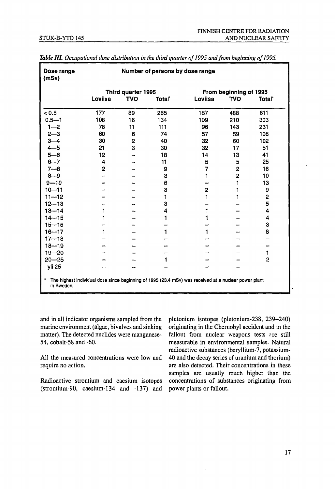| Dose range<br>(mSv)                                                                                                | Number of persons by dose range |            |        |         |                        |                    |  |
|--------------------------------------------------------------------------------------------------------------------|---------------------------------|------------|--------|---------|------------------------|--------------------|--|
|                                                                                                                    | Third quarter 1995              |            |        |         | From beginning of 1995 |                    |  |
|                                                                                                                    | Loviisa                         | <b>TVO</b> | Total' | Loviisa | <b>TVO</b>             | Total <sup>-</sup> |  |
| < 0.5                                                                                                              | 177                             | 89         | 265    | 187     | 488                    | 611                |  |
| $0.5 - 1$                                                                                                          | 108                             | 16         | 134    | 109     | 210                    | 303                |  |
| $1 - 2$                                                                                                            | 78                              | 11         | 111    | 96      | 143                    | 231                |  |
| $2 - 3$                                                                                                            | 60                              | 6          | 74     | 57      | 59                     | 108                |  |
| $3 - 4$                                                                                                            | 30                              | 2          | 40     | 32      | 60                     | 102                |  |
| $4 - 5$                                                                                                            | 21                              | 3          | 30     | 32      | 17                     | 51                 |  |
| $5 - 6$                                                                                                            | 12                              |            | 18     | 14      | 13                     | 41                 |  |
| $6 - 7$                                                                                                            | 4                               |            | 11     | 5       | 5                      | 25                 |  |
| $7 - 8$                                                                                                            | 2                               |            | 9      | 7       | $\overline{2}$         | 16                 |  |
| $8 - 9$                                                                                                            |                                 |            | 3      | 1       | $\overline{2}$         | 10                 |  |
| $9 - 10$                                                                                                           |                                 |            | 6      |         |                        | 13                 |  |
| $10 - 11$                                                                                                          |                                 |            | 3      | 2       |                        | 9                  |  |
| $11 - 12$                                                                                                          |                                 |            | 1      | 1       |                        | 2                  |  |
| $12 - 13$                                                                                                          |                                 |            | 3      |         |                        | 5                  |  |
| $13 - 14$                                                                                                          | 1                               |            | 4      | ŧ       |                        | 4                  |  |
| $14 - 15$                                                                                                          | 1                               |            |        | 1       |                        | 4                  |  |
| $15 - 16$                                                                                                          |                                 |            |        |         |                        | 3                  |  |
| $16 - 17$                                                                                                          | 1                               |            |        | 1       |                        | 8                  |  |
| $17 - 18$                                                                                                          |                                 |            |        |         |                        |                    |  |
| $18 - 19$                                                                                                          |                                 |            |        |         |                        |                    |  |
| $19 - 20$                                                                                                          |                                 |            |        |         |                        | 1                  |  |
| $20 - 25$                                                                                                          |                                 |            |        |         |                        | 2                  |  |
| yli 25                                                                                                             |                                 |            |        |         |                        |                    |  |
| The highest individual dose since beginning of 1995 (23.4 mSv) was received at a nuclear power plant<br>in Sweden. |                                 |            |        |         |                        |                    |  |

Table III. Occupational dose distribution in the third quarter of 1995 and from beginning of 1995.

and in all indicator organisms sampled from the marine environment (algae, bivalves and sinking matter). The detected nuclides were manganese-54, cobalt-58 and -60.

All the measured concentrations were low and require no action.

Radioactive strontium and caesium isotopes (strontium-90, caesium-134 and -137) and plutonium isotopes (plutonium-238, 239+240) originating in the Chernobyl accident and in the fallout from nuclear weapons tests *ire* still measurable in environmental samples. Natural radioactive substances (beryllium-7, potassium-40 and the decay series of uranium and thorium) are also detected. Their concentrations in these samples are usually much higher than the concentrations of substances originating from power plants or fallout.

17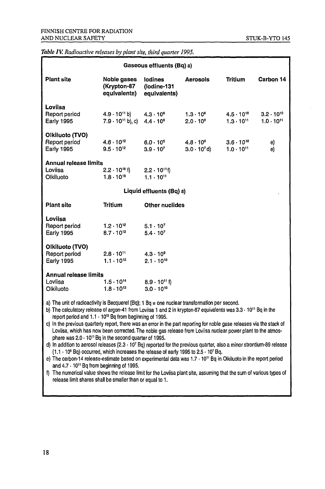#### *Table IV. Radioactive releases by plant site, third quarter 1995.*

| Gaseous effluents (Bq) a)                                                                                                                                                                                                                                                                                                                                                                                                                                                                                              |                                                                       |                                               |                                           |                                            |                                            |  |  |
|------------------------------------------------------------------------------------------------------------------------------------------------------------------------------------------------------------------------------------------------------------------------------------------------------------------------------------------------------------------------------------------------------------------------------------------------------------------------------------------------------------------------|-----------------------------------------------------------------------|-----------------------------------------------|-------------------------------------------|--------------------------------------------|--------------------------------------------|--|--|
| <b>Plant site</b>                                                                                                                                                                                                                                                                                                                                                                                                                                                                                                      | Noble gases<br>(Krypton-87<br>equivalents)                            | <b>lodines</b><br>(lodine-131<br>equivalents) | <b>Aerosols</b>                           | <b>Tritium</b>                             | Carbon 14                                  |  |  |
| Loviisa<br>Report period<br><b>Early 1995</b>                                                                                                                                                                                                                                                                                                                                                                                                                                                                          | $4.9 \cdot 10^{11}$ b)<br>$7.9 \cdot 10^{11}$ b), c) $4.4 \cdot 10^8$ | $4.3 \cdot 10^{8}$                            | $1.3 \cdot 10^{8}$<br>$2.0 \cdot 10^{8}$  | $4.5 \cdot 10^{10}$<br>$1.3 \cdot 10^{11}$ | $3.2 \cdot 10^{10}$<br>$1.0 \cdot 10^{11}$ |  |  |
| Olkiluoto (TVO)<br>Report period<br><b>Early 1995</b>                                                                                                                                                                                                                                                                                                                                                                                                                                                                  | $4.6 \cdot 10^{12}$<br>$9.5 \cdot 10^{12}$                            | $6.0 \cdot 10^{5}$<br>$3.9 \cdot 10^{7}$      | $4.8 \cdot 10^6$<br>$3.0 \cdot 10^{7}$ d) | $3.6 \cdot 10^{10}$<br>$1.0 \cdot 10^{11}$ | e)<br>e)                                   |  |  |
| <b>Annual release limits</b><br>Loviisa<br>Olkiluoto                                                                                                                                                                                                                                                                                                                                                                                                                                                                   | $2.2 \cdot 10^{16}$ f)<br>$1.8 \cdot 10^{16}$                         | $2.2 \cdot 10^{11}$ f)<br>$1.1 \cdot 10^{11}$ |                                           |                                            |                                            |  |  |
| Liquid effluents (Bq) a)                                                                                                                                                                                                                                                                                                                                                                                                                                                                                               |                                                                       |                                               |                                           |                                            |                                            |  |  |
| <b>Plant site</b>                                                                                                                                                                                                                                                                                                                                                                                                                                                                                                      | <b>Tritium</b>                                                        | <b>Other nuclides</b>                         |                                           |                                            |                                            |  |  |
| Loviisa<br>Report period<br><b>Early 1995</b>                                                                                                                                                                                                                                                                                                                                                                                                                                                                          | $1.2 \cdot 10^{12}$<br>$8.7 \cdot 10^{12}$                            | $5.1 \cdot 10^{7}$<br>$5.4 \cdot 10^{7}$      |                                           |                                            |                                            |  |  |
| Olkiluoto (TVO)<br>Report period<br>$2.8 \cdot 10^{11}$<br>$4.3 \cdot 10^{9}$<br>$1.1 \cdot 10^{12}$<br><b>Early 1995</b><br>$2.1 \cdot 10^{10}$                                                                                                                                                                                                                                                                                                                                                                       |                                                                       |                                               |                                           |                                            |                                            |  |  |
| <b>Annual release limits</b><br>Loviisa<br>$1.5 \cdot 10^{14}$<br>$8.9 \cdot 10^{11}$ f)<br>$3.0 \cdot 10^{10}$<br>Olkiluoto<br>$1.8 \cdot 10^{13}$                                                                                                                                                                                                                                                                                                                                                                    |                                                                       |                                               |                                           |                                            |                                            |  |  |
| a) The unit of radioactivity is Becquerel (Bq); $1 Bq =$ one nuclear transformation per second.<br>b) The calculatory release of argon-41 from Loviisa 1 and 2 in krypton-87 equivalents was 3.3 · 10 <sup>11</sup> Bq in the<br>report period and $1.1 \cdot 10^{12}$ Bq from beginning of 1995.<br>a de la contrata de la constantidad de la constantidad de la constantidad de la constantidad de la constantida<br>$\mathbf{A}$ the state of the contracted to account the contracted of the state of the state of |                                                                       |                                               |                                           |                                            |                                            |  |  |

c) In the previous quarterly report, there was an error in the part reporting for noble gase releases via the stack of Loviisa, which has now been corrected. The noble gas release from Loviisa nuclear power plant to the atmosphere was  $2.0 \cdot 10^{11}$  Bq in the second quarter of 1995.

d) In addition to aerosol releases (2.3  $\cdot$  10<sup>7</sup> Bq) reported for the previous quarter, also a minor strontium-89 release  $(1.1 \cdot 10^6$  Bq) occurred, which increases the release of early 1995 to 2.5  $\cdot$  10<sup>7</sup> Bq.

e) The carbon-14 release-estimate based on experimental data was 1.7  $\cdot$  10<sup>11</sup> Bq in Olkiluoto in the report period and 4.7 • 10" Bq from beginning of 1995.

f) The numerical value shows the release limit for the Loviisa plant site, assuming that the sum of various types of release limit shares shall be smaller than or equal to 1.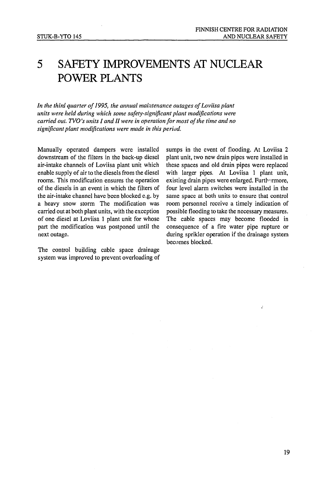### 5 SAFETY IMPROVEMENTS AT NUCLEAR POWER PLANTS

*In the third quarter of 1995, the annual maintenance outages of Loviisa plant units were held during which some safety-significant plant modifications were carried out. TVO's units I and II were in operation for most of the time and no significant plant modifications were made in this period.*

Manually operated dampers were installed downstream of the filters in the back-up diesel air-intake channels of Loviisa plant unit which enable supply of air to the diesels from the diesel rooms. This modification ensures the operation of the diesels in an event in which the filters of the air-intake channel have been blocked e.g. by a heavy snow storm The modification was carried out at both plant units, with the exception of one diesel at Loviisa 1 plant unit for whose part the modification was postponed until the next outage.

The control building cable space drainage system was improved to prevent overloading of sumps in the event of flooding. At Loviisa 2 plant unit, two new drain pipes were installed in these spaces and old drain pipes were replaced with larger pipes. At Loviisa 1 plant unit, existing drain pipes were enlarged. Furthermore, four level alarm switches were installed in the same space at both units to ensure that control room personnel receive a timely indication of possible flooding to take the necessary measures. The cable spaces may become flooded in consequence of a fire water pipe rupture or during sprikler operation if the drainage system becomes blocked.

 $\mathbf{r}$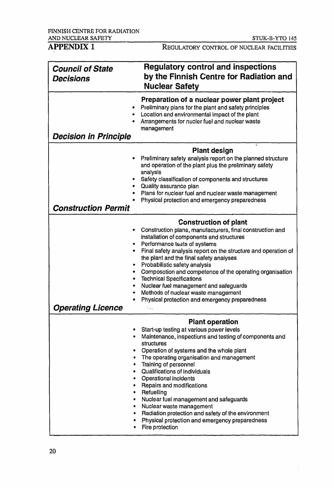REGULATORY CONTROL OF NUCLEAR FACILITIES

| <b>Council of State</b><br><b>Decisions</b>                         | <b>Regulatory control and inspections</b><br>by the Finnish Centre for Radiation and<br><b>Nuclear Safety</b>                                                                                                                                                                                                                                                                                                                                                                                                                                                          |
|---------------------------------------------------------------------|------------------------------------------------------------------------------------------------------------------------------------------------------------------------------------------------------------------------------------------------------------------------------------------------------------------------------------------------------------------------------------------------------------------------------------------------------------------------------------------------------------------------------------------------------------------------|
| $\bullet$<br><b>Decision in Principle</b>                           | Preparation of a nuclear power plant project<br>Preliminary plans for the plant and safety principles<br>Location and environmental impact of the plant<br>Arrangements for nucler fuel and nuclear waste<br>management                                                                                                                                                                                                                                                                                                                                                |
| ٠<br>$\bullet$<br>٠<br><b>Construction Permit</b>                   | <b>Plant design</b><br>Preliminary safety analysis report on the planned structure<br>and operation of the plant plus the preliminary safety<br>analysis<br>Safety classification of components and structures<br>Quality assurance plan<br>Plans for nuclear fuel and nuclear waste management<br>Physical protection and emergency preparedness                                                                                                                                                                                                                      |
| ۰<br>٠<br>٠<br>$\bullet$<br>۰<br>٠<br>٠<br><b>Operating Licence</b> | <b>Construction of plant</b><br>Construction plans, manufacturers, final construction and<br>installation of components and structures<br>Performance tests of systems<br>Final safety analysis report on the structure and operation of<br>the plant and the final safety analyses<br>Probabilistic safety analysis<br>Composotion and competence of the operating organisation<br><b>Technical Specifications</b><br>Nuclear fuel management and safeguards<br>Methods of nuclear waste management<br>Physical protection and emergency preparedness                 |
| $\bullet$<br>$\bullet$<br>$\bullet$<br>٠<br>$\bullet$<br>٠<br>٠     | <b>Plant operation</b><br>Start-up testing at various power levels<br>Maintenance, inspections and testing of components and<br>structures<br>Operation of systems and the whole plant<br>The operating organisation and management<br>Training of personnel<br>• Qualifications of individuals<br>• Operational incidents<br>Repairs and modifications<br>Refuelling<br>Nuclear fuel management and safeguards<br>Nuclear waste management<br>Radiation protection and safety of the environment<br>Physical protection and emergency preparedness<br>Fire protection |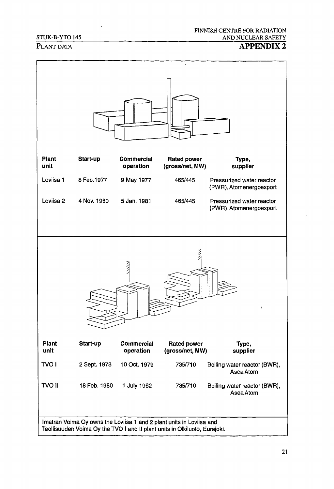#### STUK-B-YTO 145

### PLANT DATA **APPENDIX 2**

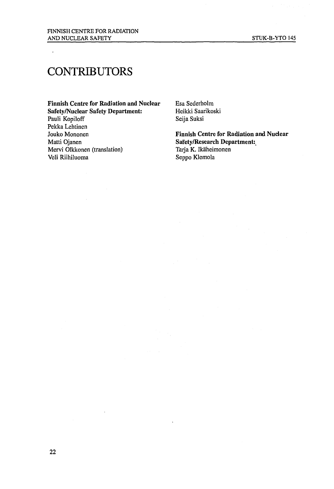## **CONTRIBUTORS**

 $\ddot{\phantom{a}}$ 

**Finnish Centre for Radiation and Nuclear** Esa Sederholm<br> **Safety/Nuclear Safety Department:** Heikki Saarikoski **Safety/Nuclear Safety Department:** Heikki Saar<br>Pauli Kopiloff Seija Suksi Pauli Kopiloff Pekka Lehtinen Jouko Mononen **Finnish Centre for Radiation and Nuclear** Mervi Olkkonen (translation)<br>Veli Riihiluoma

Safety/Research Department:<br>Tarja K. Ikäheimonen Seppo Klemola